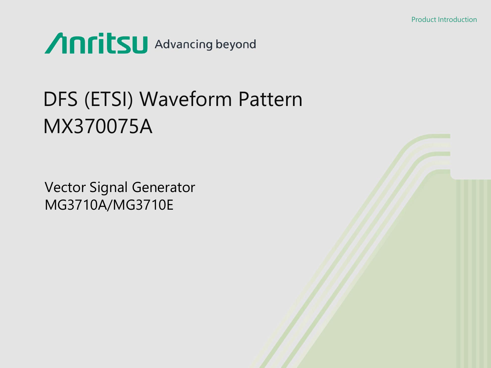

# DFS (ETSI) Waveform Pattern MX370075A

Vector Signal Generator MG3710A/MG3710E

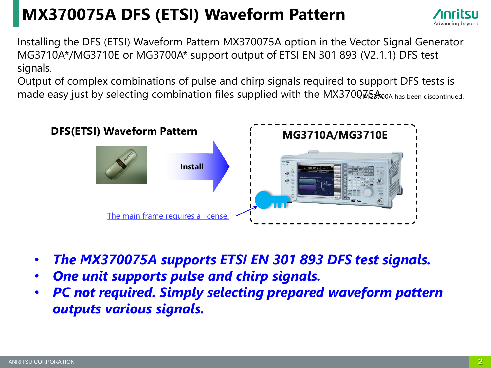# **MX370075A DFS (ETSI) Waveform Pattern**



Installing the DFS (ETSI) Waveform Pattern MX370075A option in the Vector Signal Generator MG3710A\*/MG3710E or MG3700A\* support output of ETSI EN 301 893 (V2.1.1) DFS test signals.

Output of complex combinations of pulse and chirp signals required to support DFS tests is made easy just by selecting combination files supplied with the MX37007.62 A00A has been discontinued.



- *The MX370075A supports ETSI EN 301 893 DFS test signals.*
- *One unit supports pulse and chirp signals.*
- *PC not required. Simply selecting prepared waveform pattern outputs various signals.*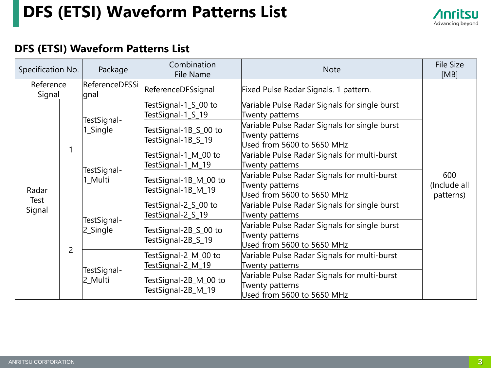# **DFS (ETSI) Waveform Patterns List**



#### **DFS (ETSI) Waveform Patterns List**

| Specification No.       |   | Package                 | Combination<br>File Name                    | <b>Note</b>                                                                                    | <b>File Size</b><br>[MB]         |
|-------------------------|---|-------------------------|---------------------------------------------|------------------------------------------------------------------------------------------------|----------------------------------|
| Reference<br>Signal     |   | ReferenceDFSSi<br>gnal  | ReferenceDFSsignal                          | Fixed Pulse Radar Signals. 1 pattern.                                                          |                                  |
|                         |   | TestSignal-<br>1_Single | TestSignal-1_S_00 to<br>TestSignal-1_S_19   | Variable Pulse Radar Signals for single burst<br>Twenty patterns                               |                                  |
|                         |   |                         | TestSignal-1B_S_00 to<br>TestSignal-1B_S_19 | Variable Pulse Radar Signals for single burst<br>Twenty patterns<br>Used from 5600 to 5650 MHz |                                  |
|                         |   | TestSignal-<br>1_Multi  | TestSignal-1_M_00 to<br>TestSignal-1_M_19   | Variable Pulse Radar Signals for multi-burst<br>Twenty patterns                                |                                  |
| Radar<br>Test<br>Signal |   |                         | TestSignal-1B_M_00 to<br>TestSignal-1B_M_19 | Variable Pulse Radar Signals for multi-burst<br>Twenty patterns<br>Used from 5600 to 5650 MHz  | 600<br>(Include all<br>patterns) |
|                         |   | TestSignal-<br>2_Single | TestSignal-2_S_00 to<br>TestSignal-2_S_19   | Variable Pulse Radar Signals for single burst<br>Twenty patterns                               |                                  |
|                         | 2 |                         | TestSignal-2B_S_00 to<br>TestSignal-2B_S_19 | Variable Pulse Radar Signals for single burst<br>Twenty patterns<br>Used from 5600 to 5650 MHz |                                  |
|                         |   | TestSignal-             | TestSignal-2_M_00 to<br>TestSignal-2_M_19   | Variable Pulse Radar Signals for multi-burst<br>Twenty patterns                                |                                  |
|                         |   | 2_Multi                 | TestSignal-2B_M_00 to<br>TestSignal-2B_M_19 | Variable Pulse Radar Signals for multi-burst<br>Twenty patterns<br>Used from 5600 to 5650 MHz  |                                  |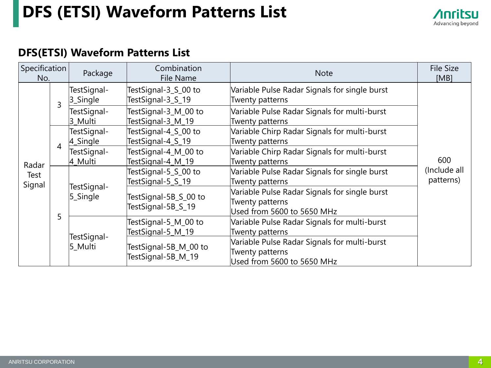# **DFS (ETSI) Waveform Patterns List**



#### **DFS(ETSI) Waveform Patterns List**

| Specification<br>No. |                | Package                                           | Combination<br>File Name                    | <b>Note</b>                                                                                   | <b>File Size</b><br>[MB]                                                                       |  |
|----------------------|----------------|---------------------------------------------------|---------------------------------------------|-----------------------------------------------------------------------------------------------|------------------------------------------------------------------------------------------------|--|
|                      | $\overline{3}$ | TestSignal-<br>3_Single                           | TestSignal-3_S_00 to<br>TestSignal-3_S_19   | Variable Pulse Radar Signals for single burst<br>Twenty patterns                              |                                                                                                |  |
|                      |                | TestSignal-<br>3 Multi                            | TestSignal-3_M_00 to<br>TestSignal-3_M_19   | Variable Pulse Radar Signals for multi-burst<br>Twenty patterns                               |                                                                                                |  |
|                      |                | TestSignal-<br>$4$ <sub>-Single</sub>             | TestSignal-4_S_00 to<br>TestSignal-4_S_19   | Variable Chirp Radar Signals for multi-burst<br>Twenty patterns                               |                                                                                                |  |
| 4<br>Radar           |                | TestSignal-<br>4 Multi                            | TestSignal-4_M_00 to<br>TestSignal-4_M_19   | Variable Chirp Radar Signals for multi-burst<br>Twenty patterns                               | 600                                                                                            |  |
| Test<br>Signal       |                | TestSignal-<br>5_Single<br>TestSignal-<br>5_Multi | TestSignal-5_S_00 to<br>TestSignal-5_S_19   | Variable Pulse Radar Signals for single burst<br>Twenty patterns                              | (Include all<br>patterns)                                                                      |  |
| 5                    |                |                                                   |                                             | TestSignal-5B_S_00 to<br>TestSignal-5B_S_19                                                   | Variable Pulse Radar Signals for single burst<br>Twenty patterns<br>Used from 5600 to 5650 MHz |  |
|                      |                |                                                   | TestSignal-5_M_00 to<br>TestSignal-5_M_19   | Variable Pulse Radar Signals for multi-burst<br>Twenty patterns                               |                                                                                                |  |
|                      |                |                                                   | TestSignal-5B_M_00 to<br>TestSignal-5B_M_19 | Variable Pulse Radar Signals for multi-burst<br>Twenty patterns<br>Used from 5600 to 5650 MHz |                                                                                                |  |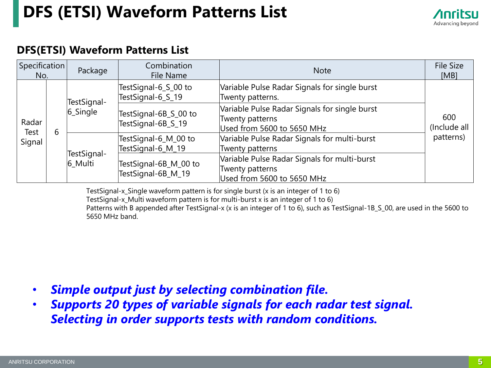# **DFS (ETSI) Waveform Patterns List**



#### **DFS(ETSI) Waveform Patterns List**

| $ S$ pecification $ $<br>No. |  | Package                | Combination<br>File Name                                                                                     | <b>Note</b>                                                                                    | <b>File Size</b><br>[MB]         |  |  |
|------------------------------|--|------------------------|--------------------------------------------------------------------------------------------------------------|------------------------------------------------------------------------------------------------|----------------------------------|--|--|
| Radar<br>6<br>Test<br>Signal |  | TestSignal-            | TestSignal-6_S_00 to<br>TestSignal-6_S_19                                                                    | Variable Pulse Radar Signals for single burst<br>Twenty patterns.                              |                                  |  |  |
|                              |  | 6_Single               | TestSignal-6B_S_00 to<br>TestSignal-6B_S_19                                                                  | Variable Pulse Radar Signals for single burst<br>Twenty patterns<br>Used from 5600 to 5650 MHz | 600<br>(Include all<br>patterns) |  |  |
|                              |  |                        | Variable Pulse Radar Signals for multi-burst<br>TestSignal-6_M_00 to<br>TestSignal-6_M_19<br>Twenty patterns |                                                                                                |                                  |  |  |
|                              |  | TestSignal-<br>6_Multi | TestSignal-6B_M_00 to<br>TestSignal-6B_M_19                                                                  | Variable Pulse Radar Signals for multi-burst<br>Twenty patterns<br>Used from 5600 to 5650 MHz  |                                  |  |  |

TestSignal-x Single waveform pattern is for single burst (x is an integer of 1 to 6)

TestSignal-x\_Multi waveform pattern is for multi-burst x is an integer of 1 to 6)

Patterns with B appended after TestSignal-x (x is an integer of 1 to 6), such as TestSignal-1B\_S\_00, are used in the 5600 to 5650 MHz band.

- *Simple output just by selecting combination file.*
- *Supports 20 types of variable signals for each radar test signal. Selecting in order supports tests with random conditions.*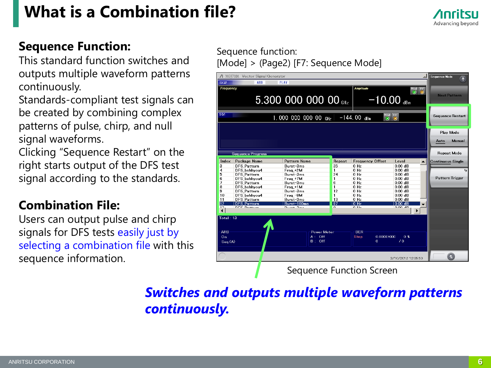# **What is a Combination file?**



#### **Sequence Function:**

This standard function switches and outputs multiple waveform patterns continuously.

Standards-compliant test signals can be created by combining complex patterns of pulse, chirp, and null signal waveforms.

Clicking "Sequence Restart" on the right starts output of the DFS test signal according to the standards.

#### **Combination File:**

Users can output pulse and chirp signals for DFS tests easily just by selecting a combination file with this sequence information.

Sequence function: [Mode] > (Page2) [F7: Sequence Mode]

| SG2                                     | △ MG3710A Vector Signal Generator<br>ARB | <b>PLAY</b>                                |              |                                                         |                                                                                                        |   | <b>Sequence Mode</b><br>$\bar{A}$ |
|-----------------------------------------|------------------------------------------|--------------------------------------------|--------------|---------------------------------------------------------|--------------------------------------------------------------------------------------------------------|---|-----------------------------------|
| Frequency                               |                                          | 5.300 000 000 00 $_{GHz}$                  |              | <b>Amplitude</b><br>$-10.00$ dBm                        | $\begin{array}{c c c} \hline \textbf{Mod} & \textbf{RF} \\ \hline \textbf{O} & \textbf{O} \end{array}$ |   | <b>Next Pattern</b>               |
| SG1                                     |                                          | 1,000 000 000 00 $_{\rm GHz}$              |              | $-144.00$ dBm<br>$\bullet$                              | Mod RF<br>$\bullet$                                                                                    |   | Sequence Restart                  |
|                                         |                                          |                                            |              |                                                         |                                                                                                        |   | Play Mode<br>Manual<br>Auto       |
|                                         | Sequence Progress                        |                                            |              |                                                         |                                                                                                        |   | <b>Repeat Mode</b>                |
| Index                                   | Package Name                             | Pattern Name                               | Repeat       | <b>Frequency Offset</b>                                 | Level                                                                                                  | ▲ | <b>Continuous Single</b>          |
| 3                                       | <b>DFS Pattern</b>                       | Burst-3ms                                  | 35           | $0$ Hz                                                  | $0.00$ dB                                                                                              |   |                                   |
| 4                                       | DFS behhvou4                             | Freq +2M                                   | 1            | $0$ Hz                                                  | $0.00$ dB                                                                                              |   |                                   |
| 5                                       | <b>DFS Pattern</b>                       | $Burst-3ms$                                | 24           | 0 Hz                                                    | $0.00$ dB                                                                                              |   |                                   |
| 6                                       | DFS behhvou4                             | Freq +7M                                   | 1            | 0 H <sub>z</sub>                                        | $0.00$ dB                                                                                              |   | Pattern Trigger                   |
| 7                                       | <b>DFS Pattern</b>                       | Burst-3ms                                  | 6            | $0$ Hz                                                  | $0.00$ dB                                                                                              |   |                                   |
| 8                                       | DFS behhvou4                             | Frea +1M                                   | $\mathbf{1}$ | 0 Hz                                                    | $0.00$ dB                                                                                              |   |                                   |
| 9                                       | <b>DFS Pattern</b>                       | Burst-3ms                                  | 12           | $0$ Hz                                                  | $0.00$ dB                                                                                              |   |                                   |
| 10                                      | DFS_behhyou4                             | Freq -8M                                   | 1            | $0$ Hz                                                  | $0.00$ dB                                                                                              |   |                                   |
| 11                                      | DFS_Pattern                              | Burst-3ms                                  | 13           | $0$ Hz                                                  | $0.00$ dB                                                                                              |   |                                   |
| 12                                      | <b>DFS Pattern</b>                       | Burst-100ms                                | 97           | 0 <sub>Hz</sub>                                         | 0.00 dB                                                                                                |   |                                   |
| 17<br>$\blacktriangleleft$              | DEC DIALUM                               | $D_{\text{model}}$ $D_{\text{model}}$      | $\Omega$     | $0.11 -$                                                | $0.00 - 10$<br>▶                                                                                       |   |                                   |
| Total:13<br><b>ARB</b><br>0n<br>Seq.(A) |                                          | <b>Power Meter</b><br>$A:$ Off<br>$B:$ Off |              | <b>BER</b><br>$0.000E + 000$<br><b>Stop</b><br>$\Omega$ | 0 <sup>5</sup><br>$\sqrt{0}$                                                                           |   | $\triangle$                       |
|                                         |                                          |                                            |              |                                                         | 3/10/2012 12:05:50                                                                                     |   |                                   |
|                                         |                                          |                                            |              | <b>Sequence Function Screen</b>                         |                                                                                                        |   |                                   |

### *Switches and outputs multiple waveform patterns continuously.*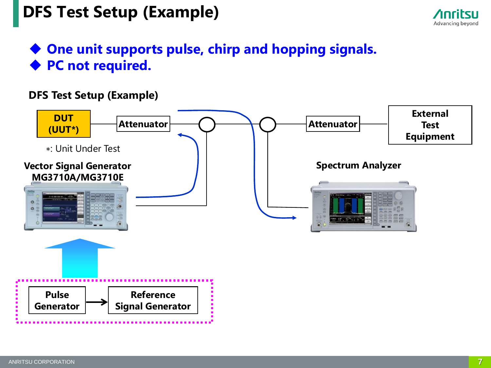# **DFS Test Setup (Example)**



### **One unit supports pulse, chirp and hopping signals. PC not required.**

#### **DFS Test Setup (Example)**

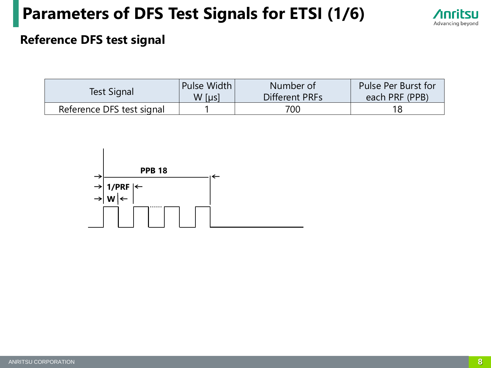# **Parameters of DFS Test Signals for ETSI (1/6)**



#### **Reference DFS test signal**

| Test Signal               | Pulse Width | Number of      | Pulse Per Burst for |
|---------------------------|-------------|----------------|---------------------|
|                           | W [µs]      | Different PRFs | each PRF (PPB)      |
| Reference DFS test signal |             | 700 -          |                     |

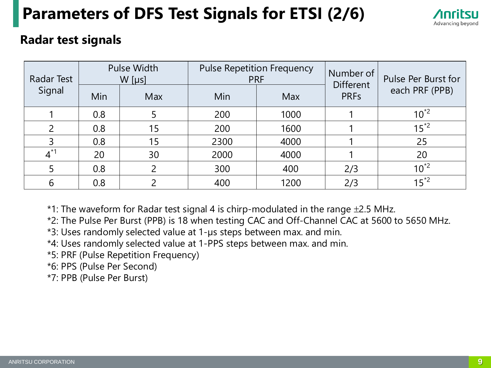# **Parameters of DFS Test Signals for ETSI (2/6)**



#### **Radar test signals**

| Radar Test    | <b>Pulse Width</b><br>$W$ [µs] |     | <b>Pulse Repetition Frequency</b><br><b>PRF</b> |            | Number of<br><b>Different</b> | Pulse Per Burst for |
|---------------|--------------------------------|-----|-------------------------------------------------|------------|-------------------------------|---------------------|
| Signal        | Min                            | Max | Min                                             | <b>Max</b> | <b>PRFs</b>                   | each PRF (PPB)      |
|               | 0.8                            |     | 200                                             | 1000       |                               | $10^{2}$            |
| 2             | 0.8                            | 15  | 200                                             | 1600       |                               | $15^{2}$            |
| $\mathcal{E}$ | 0.8                            | 15  | 2300                                            | 4000       |                               | 25                  |
| $4^*$         | 20                             | 30  | 2000                                            | 4000       |                               | 20                  |
|               | 0.8                            |     | 300                                             | 400        | 2/3                           | $10^{2}$            |
| 6             | 0.8                            |     | 400                                             | 1200       | 2/3                           | $15^{*2}$           |

 $*1$ : The waveform for Radar test signal 4 is chirp-modulated in the range  $\pm 2.5$  MHz.

\*2: The Pulse Per Burst (PPB) is 18 when testing CAC and Off-Channel CAC at 5600 to 5650 MHz.

\*3: Uses randomly selected value at 1-µs steps between max. and min.

\*4: Uses randomly selected value at 1-PPS steps between max. and min.

\*5: PRF (Pulse Repetition Frequency)

\*6: PPS (Pulse Per Second)

\*7: PPB (Pulse Per Burst)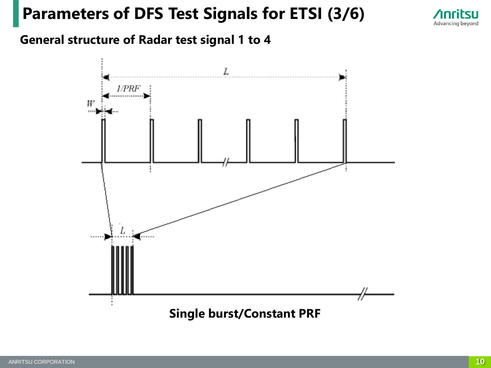# **Parameters of DFS Test Signals for ETSI (3/6)**



#### **General structure of Radar test signal 1 to 4**

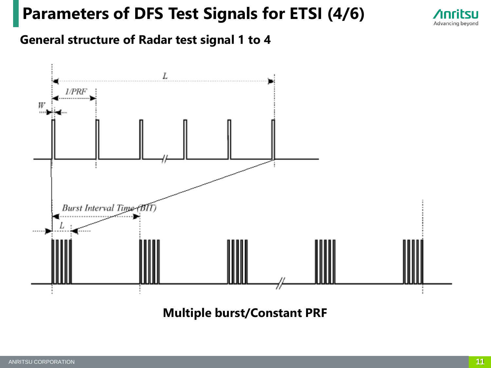# **Parameters of DFS Test Signals for ETSI (4/6)**



#### **General structure of Radar test signal 1 to 4**



**Multiple burst/Constant PRF**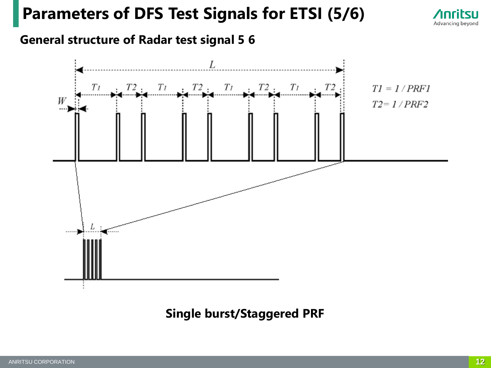### **Parameters of DFS Test Signals for ETSI (5/6)**



#### **General structure of Radar test signal 5 6**



#### **Single burst/Staggered PRF**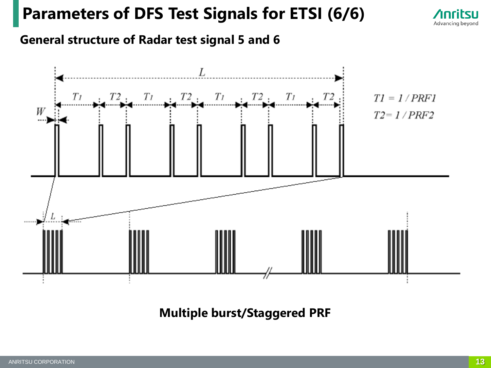# **Parameters of DFS Test Signals for ETSI (6/6)**



#### **General structure of Radar test signal 5 and 6**



**Multiple burst/Staggered PRF**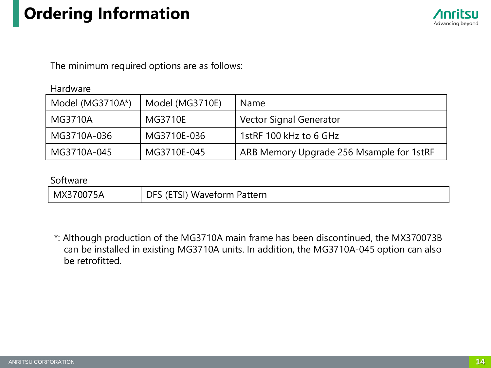# **Ordering Information**



The minimum required options are as follows:

#### Hardware

| Model (MG3710A*) | Model (MG3710E) | <b>Name</b>                              |
|------------------|-----------------|------------------------------------------|
| MG3710A          | MG3710E         | <b>Vector Signal Generator</b>           |
| MG3710A-036      | MG3710E-036     | 1stRF 100 kHz to 6 GHz                   |
| MG3710A-045      | MG3710E-045     | ARB Memory Upgrade 256 Msample for 1stRF |

#### Software

| MX370075A | S (ETSI) Waveform Pattern<br>DFS. |
|-----------|-----------------------------------|
|-----------|-----------------------------------|

\*: Although production of the MG3710A main frame has been discontinued, the MX370073B can be installed in existing MG3710A units. In addition, the MG3710A-045 option can also be retrofitted.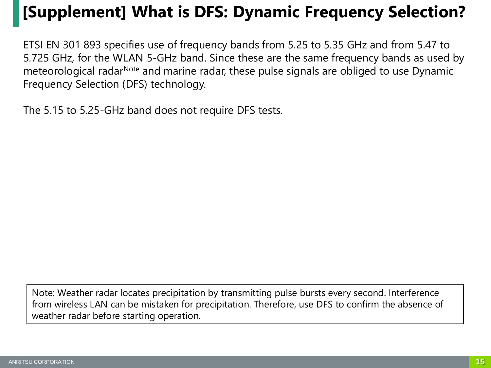# **[Supplement] What is DFS: Dynamic Frequency Selection?**

ETSI EN 301 893 specifies use of frequency bands from 5.25 to 5.35 GHz and from 5.47 to 5.725 GHz, for the WLAN 5-GHz band. Since these are the same frequency bands as used by meteorological radar<sup>Note</sup> and marine radar, these pulse signals are obliged to use Dynamic Frequency Selection (DFS) technology.

The 5.15 to 5.25-GHz band does not require DFS tests.

Note: Weather radar locates precipitation by transmitting pulse bursts every second. Interference from wireless LAN can be mistaken for precipitation. Therefore, use DFS to confirm the absence of weather radar before starting operation.